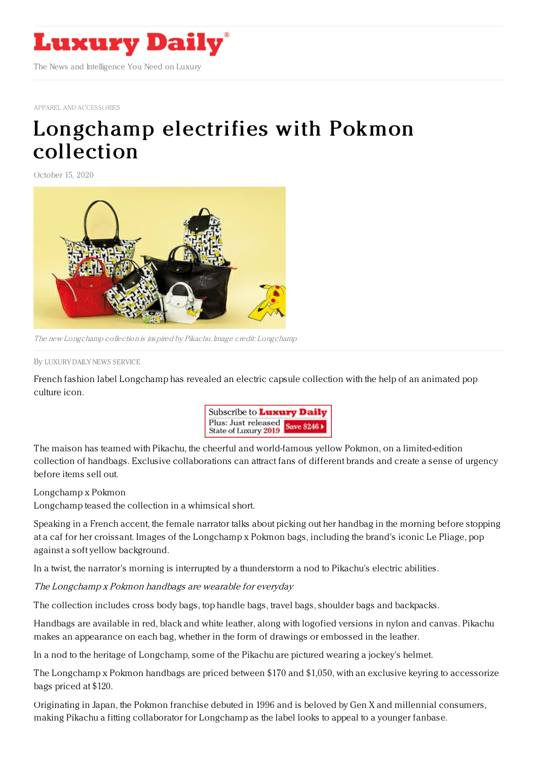

APPAREL AND [ACCESSORIES](https://www.luxurydaily.com/category/sectors/apparel-and-accessories/)

## [Longchamp](https://www.luxurydaily.com/longchamp-electrifies-with-pokemon-collection/) electrifies with Pokmon collection

October 15, 2020



The new Longchamp collection is inspired by Pikachu. Image credit: Longchamp

By LUXURY DAILY NEWS [SERVICE](file:///author/luxury-daily-news-service)

French fashion label Longchamp has revealed an electric capsule collection with the help of an animated pop culture icon.



The maison has teamed with Pikachu, the cheerful and world-famous yellow Pokmon, on a limited-edition collection of handbags. Exclusive collaborations can attract fans of different brands and create a sense of urgency before items sell out.

Longchamp x Pokmon

Longchamp teased the collection in a whimsical short.

Speaking in a French accent, the female narrator talks about picking out her handbag in the morning before stopping at a caf for her croissant. Images of the Longchamp x Pokmon bags, including the brand's iconic Le Pliage, pop against a soft yellow background.

In a twist, the narrator's morning is interrupted by a thunderstorm a nod to Pikachu's electric abilities.

The Longchamp <sup>x</sup> Pokmon handbags are wearable for everyday

The collection includes cross body bags, top handle bags, travel bags, shoulder bags and backpacks.

Handbags are available in red, black and white leather, along with logofied versions in nylon and canvas. Pikachu makes an appearance on each bag, whether in the form of drawings or embossed in the leather.

In a nod to the heritage of Longchamp, some of the Pikachu are pictured wearing a jockey's helmet.

The Longchamp x Pokmon handbags are priced between \$170 and \$1,050, with an exclusive keyring to accessorize bags priced at \$120.

Originating in Japan, the Pokmon franchise debuted in 1996 and is beloved by Gen X and millennial consumers, making Pikachu a fitting collaborator for Longchamp as the label looks to appeal to a younger fanbase.